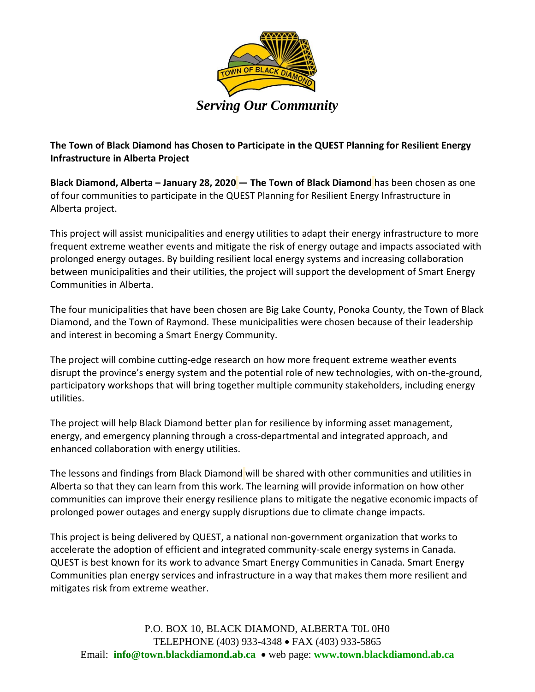

**The Town of Black Diamond has Chosen to Participate in the QUEST Planning for Resilient Energy Infrastructure in Alberta Project**

**Black Diamond, Alberta – January 28, 2020 — The Town of Black Diamond** has been chosen as one of four communities to participate in the QUEST Planning for Resilient Energy Infrastructure in Alberta project.

This project will assist municipalities and energy utilities to adapt their energy infrastructure to more frequent extreme weather events and mitigate the risk of energy outage and impacts associated with prolonged energy outages. By building resilient local energy systems and increasing collaboration between municipalities and their utilities, the project will support the development of Smart Energy Communities in Alberta.

The four municipalities that have been chosen are Big Lake County, Ponoka County, the Town of Black Diamond, and the Town of Raymond. These municipalities were chosen because of their leadership and interest in becoming a Smart Energy Community.

The project will combine cutting-edge research on how more frequent extreme weather events disrupt the province's energy system and the potential role of new technologies, with on-the-ground, participatory workshops that will bring together multiple community stakeholders, including energy utilities.

The project will help Black Diamond better plan for resilience by informing asset management, energy, and emergency planning through a cross-departmental and integrated approach, and enhanced collaboration with energy utilities.

The lessons and findings from Black Diamond will be shared with other communities and utilities in Alberta so that they can learn from this work. The learning will provide information on how other communities can improve their energy resilience plans to mitigate the negative economic impacts of prolonged power outages and energy supply disruptions due to climate change impacts.

This project is being delivered by QUEST, a national non-government organization that works to accelerate the adoption of efficient and integrated community-scale energy systems in Canada. QUEST is best known for its work to advance Smart Energy Communities in Canada. Smart Energy Communities plan energy services and infrastructure in a way that makes them more resilient and mitigates risk from extreme weather.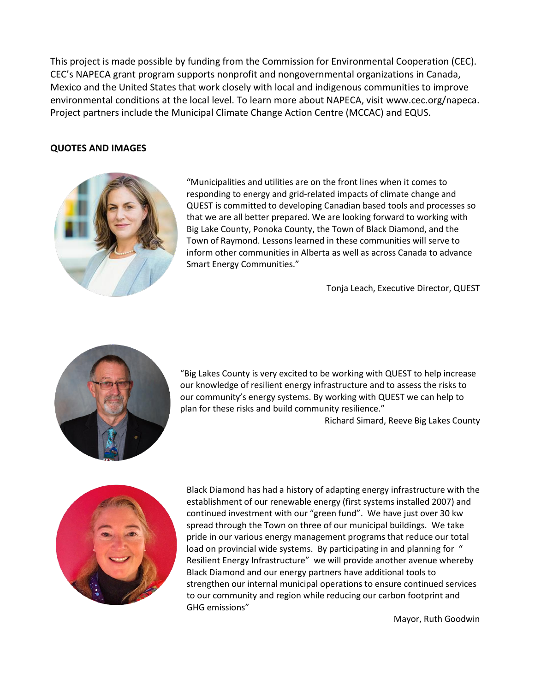This project is made possible by funding from the Commission for Environmental Cooperation (CEC). CEC's NAPECA grant program supports nonprofit and nongovernmental organizations in Canada, Mexico and the United States that work closely with local and indigenous communities to improve environmental conditions at the local level. To learn more about NAPECA, visit [www.cec.org/napeca.](http://www.cec.org/napeca) Project partners include the Municipal Climate Change Action Centre (MCCAC) and EQUS.

## **QUOTES AND IMAGES**



"Municipalities and utilities are on the front lines when it comes to responding to energy and grid-related impacts of climate change and QUEST is committed to developing Canadian based tools and processes so that we are all better prepared. We are looking forward to working with Big Lake County, Ponoka County, the Town of Black Diamond, and the Town of Raymond. Lessons learned in these communities will serve to inform other communities in Alberta as well as across Canada to advance Smart Energy Communities."

Tonja Leach, Executive Director, QUEST



"Big Lakes County is very excited to be working with QUEST to help increase our knowledge of resilient energy infrastructure and to assess the risks to our community's energy systems. By working with QUEST we can help to plan for these risks and build community resilience."

Richard Simard, Reeve Big Lakes County



Black Diamond has had a history of adapting energy infrastructure with the establishment of our renewable energy (first systems installed 2007) and continued investment with our "green fund". We have just over 30 kw spread through the Town on three of our municipal buildings. We take pride in our various energy management programs that reduce our total load on provincial wide systems. By participating in and planning for " Resilient Energy Infrastructure" we will provide another avenue whereby Black Diamond and our energy partners have additional tools to strengthen our internal municipal operations to ensure continued services to our community and region while reducing our carbon footprint and GHG emissions"

Mayor, Ruth Goodwin